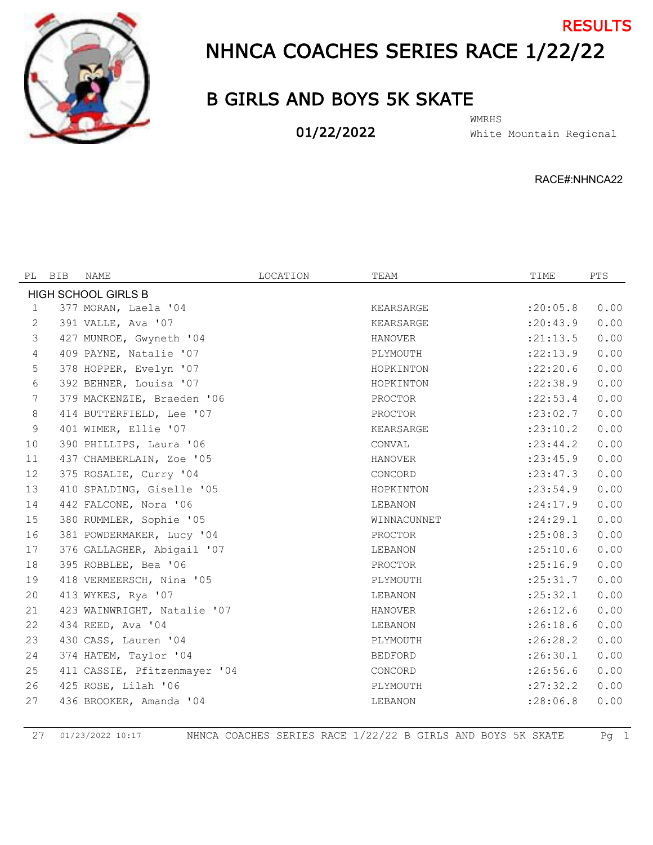

## NHNCA COACHES SERIES RACE 1/22/22 RESULTS

## B GIRLS AND BOYS 5K SKATE

01/22/2022

White Mountain Regional WMRHS

RACE#:NHNCA22

| PL                         | BIB | NAME                         | LOCATION | TEAM           | TIME       | PTS  |  |  |
|----------------------------|-----|------------------------------|----------|----------------|------------|------|--|--|
| <b>HIGH SCHOOL GIRLS B</b> |     |                              |          |                |            |      |  |  |
| $\mathbf{1}$               |     | 377 MORAN, Laela '04         |          | KEARSARGE      | : 20:05.8  | 0.00 |  |  |
| 2                          |     | 391 VALLE, Ava '07           |          | KEARSARGE      | : 20: 43.9 | 0.00 |  |  |
| 3                          |     | 427 MUNROE, Gwyneth '04      |          | HANOVER        | : 21: 13.5 | 0.00 |  |  |
| $\overline{4}$             |     | 409 PAYNE, Natalie '07       |          | PLYMOUTH       | : 22: 13.9 | 0.00 |  |  |
| 5                          |     | 378 HOPPER, Evelyn '07       |          | HOPKINTON      | :22:20.6   | 0.00 |  |  |
| 6                          |     | 392 BEHNER, Louisa '07       |          | HOPKINTON      | : 22:38.9  | 0.00 |  |  |
| 7                          |     | 379 MACKENZIE, Braeden '06   |          | PROCTOR        | : 22: 53.4 | 0.00 |  |  |
| 8                          |     | 414 BUTTERFIELD, Lee '07     |          | PROCTOR        | : 23:02.7  | 0.00 |  |  |
| 9                          |     | 401 WIMER, Ellie '07         |          | KEARSARGE      | : 23: 10.2 | 0.00 |  |  |
| 10                         |     | 390 PHILLIPS, Laura '06      |          | CONVAL         | : 23: 44.2 | 0.00 |  |  |
| 11                         |     | 437 CHAMBERLAIN, Zoe '05     |          | HANOVER        | : 23: 45.9 | 0.00 |  |  |
| 12                         |     | 375 ROSALIE, Curry '04       |          | CONCORD        | : 23: 47.3 | 0.00 |  |  |
| 13                         |     | 410 SPALDING, Giselle '05    |          | HOPKINTON      | : 23: 54.9 | 0.00 |  |  |
| 14                         |     | 442 FALCONE, Nora '06        |          | LEBANON        | : 24:17.9  | 0.00 |  |  |
| 15                         |     | 380 RUMMLER, Sophie '05      |          | WINNACUNNET    | : 24: 29.1 | 0.00 |  |  |
| 16                         |     | 381 POWDERMAKER, Lucy '04    |          | PROCTOR        | :25:08.3   | 0.00 |  |  |
| 17                         |     | 376 GALLAGHER, Abigail '07   |          | LEBANON        | :25:10.6   | 0.00 |  |  |
| 18                         |     | 395 ROBBLEE, Bea '06         |          | PROCTOR        | : 25:16.9  | 0.00 |  |  |
| 19                         |     | 418 VERMEERSCH, Nina '05     |          | PLYMOUTH       | : 25: 31.7 | 0.00 |  |  |
| 20                         |     | 413 WYKES, Rya '07           |          | LEBANON        | :25:32.1   | 0.00 |  |  |
| 21                         |     | 423 WAINWRIGHT, Natalie '07  |          | HANOVER        | :26:12.6   | 0.00 |  |  |
| 22                         |     | 434 REED, Ava '04            |          | LEBANON        | :26:18.6   | 0.00 |  |  |
| 23                         |     | 430 CASS, Lauren '04         |          | PLYMOUTH       | :26:28.2   | 0.00 |  |  |
| 24                         |     | 374 HATEM, Taylor '04        |          | <b>BEDFORD</b> | :26:30.1   | 0.00 |  |  |
| 25                         |     | 411 CASSIE, Pfitzenmayer '04 |          | CONCORD        | : 26:56.6  | 0.00 |  |  |
| 26                         |     | 425 ROSE, Lilah '06          |          | PLYMOUTH       | : 27: 32.2 | 0.00 |  |  |
| 27                         |     | 436 BROOKER, Amanda '04      |          | LEBANON        | : 28:06.8  | 0.00 |  |  |

01/23/2022 10:17 NHNCA COACHES SERIES RACE 1/22/22 B GIRLS AND BOYS 5K SKATE Pg 1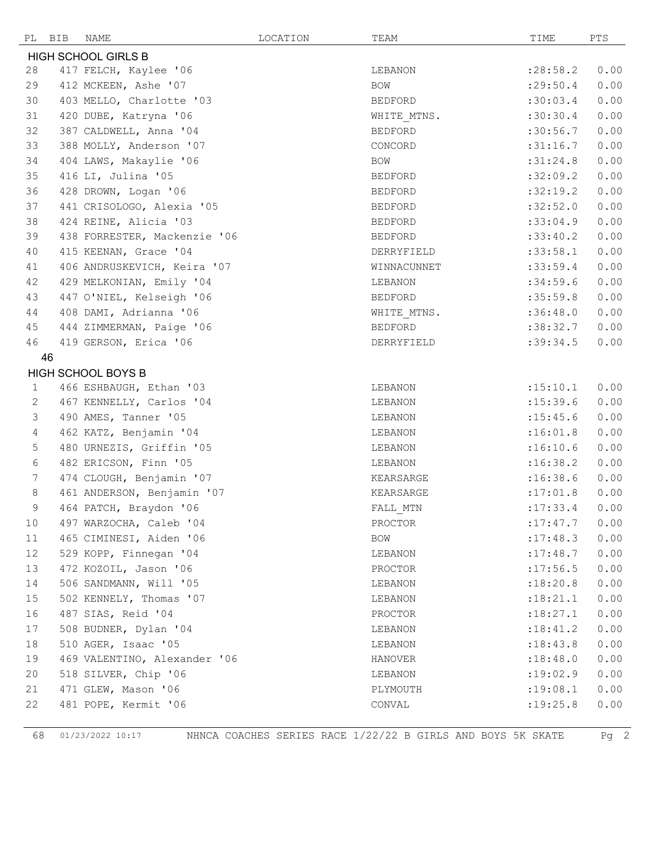|                            | PL BIB<br>NAME            |                              | LOCATION | TEAM       |                | TIME       | PTS  |
|----------------------------|---------------------------|------------------------------|----------|------------|----------------|------------|------|
| <b>HIGH SCHOOL GIRLS B</b> |                           |                              |          |            |                |            |      |
| 28                         |                           | 417 FELCH, Kaylee '06        |          |            | LEBANON        | : 28:58.2  | 0.00 |
| 29                         |                           | 412 MCKEEN, Ashe '07         |          | <b>BOW</b> |                | : 29:50.4  | 0.00 |
| 30                         |                           | 403 MELLO, Charlotte '03     |          |            | <b>BEDFORD</b> | :30:03.4   | 0.00 |
| 31                         |                           | 420 DUBE, Katryna '06        |          |            | WHITE MTNS.    | :30:30.4   | 0.00 |
| 32                         |                           | 387 CALDWELL, Anna '04       |          |            | BEDFORD        | :30:56.7   | 0.00 |
| 33                         |                           | 388 MOLLY, Anderson '07      |          |            | CONCORD        | :31:16.7   | 0.00 |
| 34                         |                           | 404 LAWS, Makaylie '06       |          | BOW        |                | :31:24.8   | 0.00 |
| 35                         | 416 LI, Julina '05        |                              |          |            | BEDFORD        | :32:09.2   | 0.00 |
| 36                         |                           | 428 DROWN, Logan '06         |          |            | BEDFORD        | :32:19.2   | 0.00 |
| 37                         |                           | 441 CRISOLOGO, Alexia '05    |          |            | BEDFORD        | :32:52.0   | 0.00 |
| 38                         |                           | 424 REINE, Alicia '03        |          |            | BEDFORD        | :33:04.9   | 0.00 |
| 39                         |                           | 438 FORRESTER, Mackenzie '06 |          |            | BEDFORD        | :33:40.2   | 0.00 |
| 40                         |                           | 415 KEENAN, Grace '04        |          |            | DERRYFIELD     | :33:58.1   | 0.00 |
| 41                         |                           | 406 ANDRUSKEVICH, Keira '07  |          |            | WINNACUNNET    | :33:59.4   | 0.00 |
| 42                         |                           | 429 MELKONIAN, Emily '04     |          |            | LEBANON        | :34:59.6   | 0.00 |
| 43                         |                           | 447 O'NIEL, Kelseigh '06     |          |            | BEDFORD        | :35:59.8   | 0.00 |
| 44                         |                           | 408 DAMI, Adrianna '06       |          |            | WHITE MTNS.    | :36:48.0   | 0.00 |
| 45                         |                           | 444 ZIMMERMAN, Paige '06     |          |            | BEDFORD        | :38:32.7   | 0.00 |
| 46                         |                           | 419 GERSON, Erica '06        |          |            | DERRYFIELD     | :39:34.5   | 0.00 |
|                            | 46                        |                              |          |            |                |            |      |
|                            | <b>HIGH SCHOOL BOYS B</b> |                              |          |            |                |            |      |
| $\mathbf{1}$               |                           | 466 ESHBAUGH, Ethan '03      |          |            | LEBANON        | :15:10.1   | 0.00 |
| $\mathbf{2}$               |                           | 467 KENNELLY, Carlos '04     |          |            | LEBANON        | : 15: 39.6 | 0.00 |
| 3                          |                           | 490 AMES, Tanner '05         |          |            | LEBANON        | : 15: 45.6 | 0.00 |
| $\overline{4}$             |                           | 462 KATZ, Benjamin '04       |          |            | LEBANON        | :16:01.8   | 0.00 |
| 5                          |                           | 480 URNEZIS, Griffin '05     |          |            | LEBANON        | :16:10.6   | 0.00 |
| 6                          |                           | 482 ERICSON, Finn '05        |          |            | LEBANON        | :16:38.2   | 0.00 |
| $7\phantom{.0}$            |                           | 474 CLOUGH, Benjamin '07     |          |            | KEARSARGE      | :16:38.6   | 0.00 |
| 8                          |                           | 461 ANDERSON, Benjamin '07   |          |            | KEARSARGE      | :17:01.8   | 0.00 |
| 9                          |                           | 464 PATCH, Braydon '06       |          |            | FALL_MTN       | : 17: 33.4 | 0.00 |
| 10                         |                           | 497 WARZOCHA, Caleb '04      |          |            | PROCTOR        | : 17: 47.7 | 0.00 |
| 11                         |                           | 465 CIMINESI, Aiden '06      |          | BOW        |                | :17:48.3   | 0.00 |
| 12                         |                           | 529 KOPP, Finnegan '04       |          |            | LEBANON        | : 17:48.7  | 0.00 |
| 13                         |                           | 472 KOZOIL, Jason '06        |          |            | PROCTOR        | : 17:56.5  | 0.00 |
| 14                         |                           | 506 SANDMANN, Will '05       |          |            | LEBANON        | :18:20.8   | 0.00 |
| 15                         |                           | 502 KENNELY, Thomas '07      |          |            | LEBANON        | :18:21.1   | 0.00 |
| 16                         | 487 SIAS, Reid '04        |                              |          |            | PROCTOR        | :18:27.1   | 0.00 |
| 17                         |                           | 508 BUDNER, Dylan '04        |          |            | LEBANON        | :18:41.2   | 0.00 |
| 18                         | 510 AGER, Isaac '05       |                              |          |            | LEBANON        | :18:43.8   | 0.00 |
| 19                         |                           | 469 VALENTINO, Alexander '06 |          |            | <b>HANOVER</b> | :18:48.0   | 0.00 |
| 20                         |                           | 518 SILVER, Chip '06         |          |            | LEBANON        | :19:02.9   | 0.00 |
| 21                         | 471 GLEW, Mason '06       |                              |          |            | PLYMOUTH       | : 19:08.1  | 0.00 |
| 22                         |                           | 481 POPE, Kermit '06         |          | CONVAL     |                | : 19: 25.8 | 0.00 |

01/23/2022 10:17 NHNCA COACHES SERIES RACE 1/22/22 B GIRLS AND BOYS 5K SKATE Pg 2